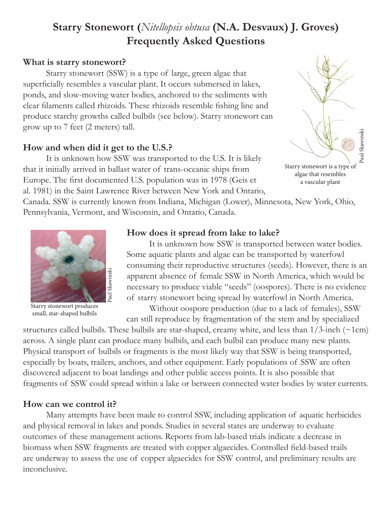# **Starry Stonewort (***Nitellopsis obtusa* **(N.A. Desvaux) J. Groves) Frequently Asked Questions**

## **What is starry stonewort?**

Starry stonewort (SSW) is a type of large, green algae that superficially resembles a vascular plant. It occurs submersed in lakes, ponds, and slow-moving water bodies, anchored to the sediments with clear filaments called rhizoids. These rhizoids resemble fishing line and produce starchy growths called bulbils (see below). Starry stonewort can grow up to 7 feet (2 meters) tall.

## **How and when did it get to the U.S.?**

It is unknown how SSW was transported to the U.S. It is likely that it initially arrived in ballast water of trans-oceanic ships from Europe. The first documented U.S. population was in 1978 (Geis et al. 1981) in the Saint Lawrence River between New York and Ontario,

Canada. SSW is currently known from Indiana, Michigan (Lower), Minnesota, New York, Ohio, Pennsylvania, Vermont, and Wisconsin, and Ontario, Canada.



Starry stonewort produces small, star-shaped bulbils

### **How does it spread from lake to lake?**

 It is unknown how SSW is transported between water bodies. Some aquatic plants and algae can be transported by waterfowl consuming their reproductive structures (seeds). However, there is an apparent absence of female SSW in North America, which would be necessary to produce viable "seeds" (oospores). There is no evidence of starry stonewort being spread by waterfowl in North America.

 Without oospore production (due to a lack of females), SSW can still reproduce by fragmentation of the stem and by specialized

structures called bulbils. These bulbils are star-shaped, creamy white, and less than  $1/3$ -inch ( $\sim$ 1cm) across. A single plant can produce many bulbils, and each bulbil can produce many new plants. Physical transport of bulbils or fragments is the most likely way that SSW is being transported, especially by boats, trailers, anchors, and other equipment. Early populations of SSW are often discovered adjacent to boat landings and other public access points. It is also possible that fragments of SSW could spread within a lake or between connected water bodies by water currents.

## **How can we control it?**

Many attempts have been made to control SSW, including application of aquatic herbicides and physical removal in lakes and ponds. Studies in several states are underway to evaluate outcomes of these management actions. Reports from lab-based trials indicate a decrease in biomass when SSW fragments are treated with copper algaecides. Controlled field-based trails are underway to assess the use of copper algaecides for SSW control, and preliminary results are inconclusive.



Starry stonewort is a type of algae that resembles a vascular plant